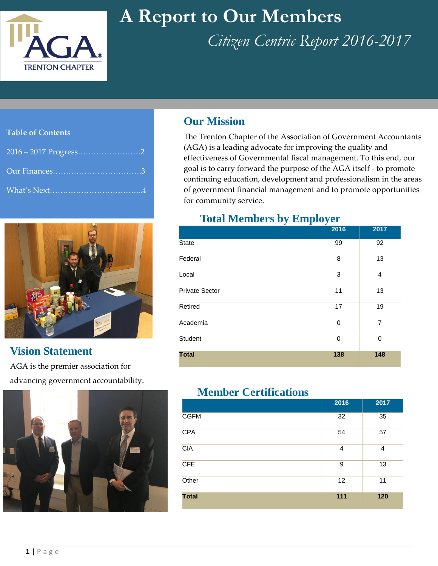

# **A Report to Our Members**

*Citizen Centric Report 2016-2017*

#### **Table of Contents**

|                          | <b>Our Mission</b>                      |
|--------------------------|-----------------------------------------|
| <b>Table of Contents</b> | The Trenton Chap                        |
|                          | (AGA) is a leadin<br>effectiveness of G |
|                          | goal is to carry for                    |
|                          | continuing educa<br>of government fir   |



## **Vision Statement**

 advancing government accountability.AGA is the premier association for



The Trenton Chapter of the Association of Government Accountants (AGA) is a leading advocate for improving the quality and effectiveness of Governmental fiscal management. To this end, our goal is to carry forward the purpose of the AGA itself - to promote continuing education, development and professionalism in the areas of government financial management and to promote opportunities for community service.

### **Total Members by Employer**

|                       | 2016 | 2017           |
|-----------------------|------|----------------|
| State                 | 99   | 92             |
| Federal               | 8    | 13             |
| Local                 | 3    | $\overline{4}$ |
| <b>Private Sector</b> | 11   | 13             |
| Retired               | 17   | 19             |
| Academia              | 0    | $\overline{7}$ |
| <b>Student</b>        | 0    | 0              |
| <b>Total</b>          | 138  | 148            |

### **Member Certifications**

|              | 2016 | 2017 |
|--------------|------|------|
| <b>CGFM</b>  | 32   | 35   |
| CPA          | 54   | 57   |
| <b>CIA</b>   | 4    | 4    |
| <b>CFE</b>   | 9    | 13   |
| Other        | 12   | 11   |
| <b>Total</b> | 111  | 120  |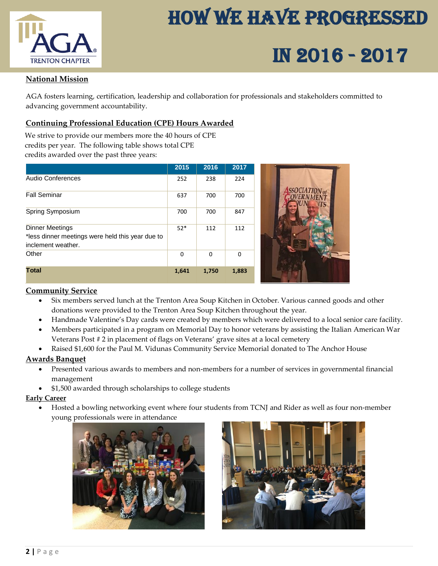

# How We Have Progressed

# $\frac{1}{TRENTON CHAPTER}$  IN 2016 - 2017

#### **National Mission**

AGA fosters learning, certification, leadership and collaboration for professionals and stakeholders committed to advancing government accountability.

#### **Continuing Professional Education (CPE) Hours Awarded**

We strive to provide our members more the 40 hours of CPE credits per year. The following table shows total CPE credits awarded over the past three years:

|                                                                                           | 2015        | 2016        | 2017     |  |
|-------------------------------------------------------------------------------------------|-------------|-------------|----------|--|
| <b>Audio Conferences</b>                                                                  | 252         | 238         | 224      |  |
| <b>Fall Seminar</b>                                                                       | 637         | 700         | 700      |  |
| Spring Symposium                                                                          | 700         | 700         | 847      |  |
| Dinner Meetings<br>*less dinner meetings were held this year due to<br>inclement weather. | $52*$       | 112         | 112      |  |
| Other                                                                                     | $\mathbf 0$ | $\mathbf 0$ | $\Omega$ |  |
| <b>Total</b>                                                                              | 1,641       | 1,750       | 1,883    |  |

#### **Community Service**

- Six members served lunch at the Trenton Area Soup Kitchen in October. Various canned goods and other donations were provided to the Trenton Area Soup Kitchen throughout the year.
- Handmade Valentine's Day cards were created by members which were delivered to a local senior care facility.
- Members participated in a program on Memorial Day to honor veterans by assisting the Italian American War Veterans Post # 2 in placement of flags on Veterans' grave sites at a local cemetery
- Raised \$1,600 for the Paul M. Vidunas Community Service Memorial donated to The Anchor House

#### **Awards Banquet**

- Presented various awards to members and non-members for a number of services in governmental financial management
- \$1,500 awarded through scholarships to college students

#### **Early Career**

 Hosted a bowling networking event where four students from TCNJ and Rider as well as four non-member young professionals were in attendance



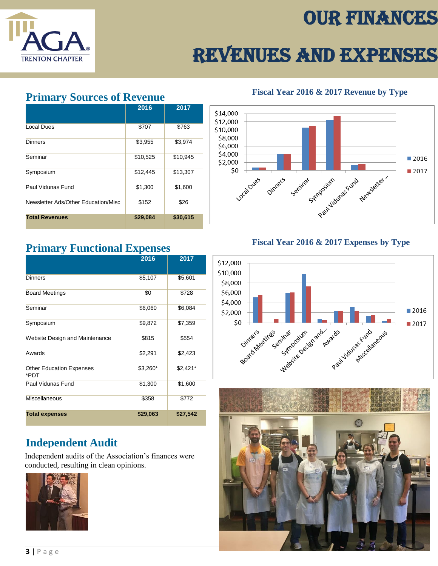# Our Finances



# Revenues and Expenses

### **Primary Sources of Revenue**

|                                     | 2016     | 2017     |
|-------------------------------------|----------|----------|
| Local Dues                          | \$707    | \$763    |
| <b>Dinners</b>                      | \$3,955  | \$3,974  |
| Seminar                             | \$10,525 | \$10,945 |
| Symposium                           | \$12,445 | \$13,307 |
| Paul Vidunas Fund                   | \$1,300  | \$1,600  |
| Newsletter Ads/Other Education/Misc | \$152    | \$26     |
| <b>Total Revenues</b>               | \$29,084 | \$30,615 |

### **Primary Functional Expenses**

|                                         | 2016     | 2017      |
|-----------------------------------------|----------|-----------|
| <b>Dinners</b>                          | \$5,107  | \$5,601   |
| <b>Board Meetings</b>                   | \$0      | \$728     |
| Seminar                                 | \$6,060  | \$6,084   |
| Symposium                               | \$9,872  | \$7,359   |
| Website Design and Maintenance          | \$815    | \$554     |
| Awards                                  | \$2,291  | \$2,423   |
| <b>Other Education Expenses</b><br>*PDT | \$3,260* | $$2,421*$ |
| Paul Vidunas Fund                       | \$1,300  | \$1,600   |
| <b>Miscellaneous</b>                    | \$358    | \$772     |
| <b>Total expenses</b>                   | \$29,063 | \$27,542  |

## **Independent Audit**

Independent audits of the Association's finances were conducted, resulting in clean opinions.



**Fiscal Year 2016 & 2017 Revenue by Type**



### **Fiscal Year 2016 & 2017 Expenses by Type**